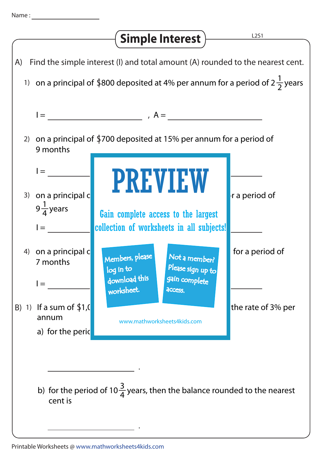